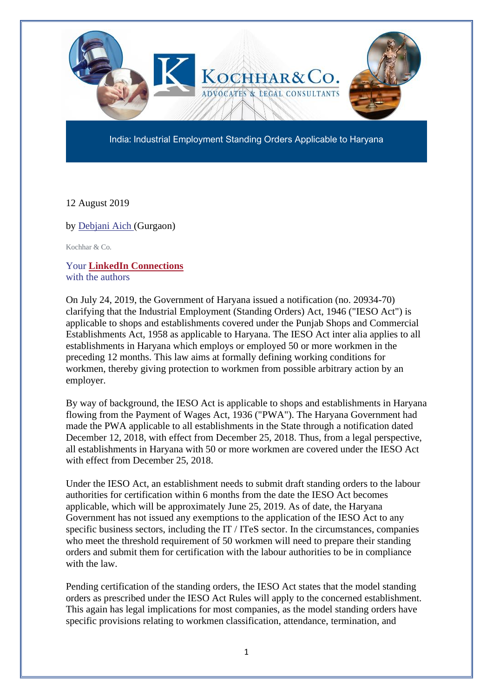

India: Industrial Employment Standing Orders Applicable to Haryana

12 August 2019

by [Debjani Aich](https://www.mondaq.com/Home/Redirect/1455516?mode=author&article_id=835754) (Gurgaon)

Kochhar & Co.

Your **[LinkedIn Connections](https://www.mondaq.com/Home/LinkedinReferal/9997?lcompany=356904&author_id=1455516&article_id=835754)** with the authors

On July 24, 2019, the Government of Haryana issued a notification (no. 20934-70) clarifying that the Industrial Employment (Standing Orders) Act, 1946 ("IESO Act") is applicable to shops and establishments covered under the Punjab Shops and Commercial Establishments Act, 1958 as applicable to Haryana. The IESO Act inter alia applies to all establishments in Haryana which employs or employed 50 or more workmen in the preceding 12 months. This law aims at formally defining working conditions for workmen, thereby giving protection to workmen from possible arbitrary action by an employer.

By way of background, the IESO Act is applicable to shops and establishments in Haryana flowing from the Payment of Wages Act, 1936 ("PWA"). The Haryana Government had made the PWA applicable to all establishments in the State through a notification dated December 12, 2018, with effect from December 25, 2018. Thus, from a legal perspective, all establishments in Haryana with 50 or more workmen are covered under the IESO Act with effect from December 25, 2018.

Under the IESO Act, an establishment needs to submit draft standing orders to the labour authorities for certification within 6 months from the date the IESO Act becomes applicable, which will be approximately June 25, 2019. As of date, the Haryana Government has not issued any exemptions to the application of the IESO Act to any specific business sectors, including the IT / ITeS sector. In the circumstances, companies who meet the threshold requirement of 50 workmen will need to prepare their standing orders and submit them for certification with the labour authorities to be in compliance with the law.

Pending certification of the standing orders, the IESO Act states that the model standing orders as prescribed under the IESO Act Rules will apply to the concerned establishment. This again has legal implications for most companies, as the model standing orders have specific provisions relating to workmen classification, attendance, termination, and